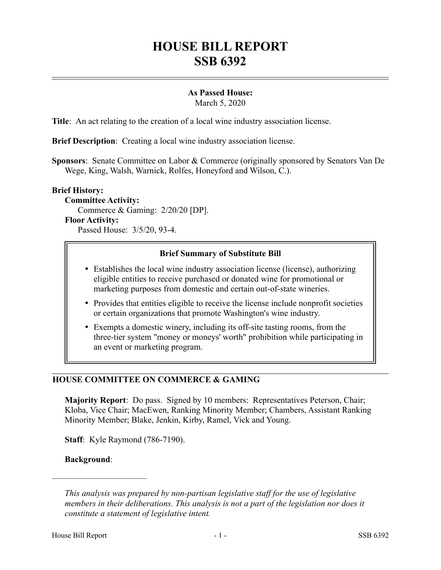# **HOUSE BILL REPORT SSB 6392**

# **As Passed House:**

March 5, 2020

**Title**: An act relating to the creation of a local wine industry association license.

**Brief Description**: Creating a local wine industry association license.

**Sponsors**: Senate Committee on Labor & Commerce (originally sponsored by Senators Van De Wege, King, Walsh, Warnick, Rolfes, Honeyford and Wilson, C.).

#### **Brief History:**

**Committee Activity:** Commerce & Gaming: 2/20/20 [DP]. **Floor Activity:** Passed House: 3/5/20, 93-4.

## **Brief Summary of Substitute Bill**

- Establishes the local wine industry association license (license), authorizing eligible entities to receive purchased or donated wine for promotional or marketing purposes from domestic and certain out-of-state wineries.
- Provides that entities eligible to receive the license include nonprofit societies or certain organizations that promote Washington's wine industry.
- Exempts a domestic winery, including its off-site tasting rooms, from the three-tier system "money or moneys' worth" prohibition while participating in an event or marketing program.

# **HOUSE COMMITTEE ON COMMERCE & GAMING**

**Majority Report**: Do pass. Signed by 10 members: Representatives Peterson, Chair; Kloba, Vice Chair; MacEwen, Ranking Minority Member; Chambers, Assistant Ranking Minority Member; Blake, Jenkin, Kirby, Ramel, Vick and Young.

**Staff**: Kyle Raymond (786-7190).

### **Background**:

––––––––––––––––––––––

*This analysis was prepared by non-partisan legislative staff for the use of legislative members in their deliberations. This analysis is not a part of the legislation nor does it constitute a statement of legislative intent.*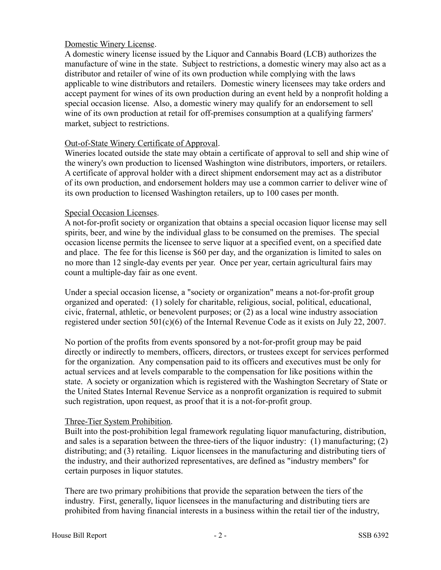## Domestic Winery License.

A domestic winery license issued by the Liquor and Cannabis Board (LCB) authorizes the manufacture of wine in the state. Subject to restrictions, a domestic winery may also act as a distributor and retailer of wine of its own production while complying with the laws applicable to wine distributors and retailers. Domestic winery licensees may take orders and accept payment for wines of its own production during an event held by a nonprofit holding a special occasion license. Also, a domestic winery may qualify for an endorsement to sell wine of its own production at retail for off-premises consumption at a qualifying farmers' market, subject to restrictions.

## Out-of-State Winery Certificate of Approval.

Wineries located outside the state may obtain a certificate of approval to sell and ship wine of the winery's own production to licensed Washington wine distributors, importers, or retailers. A certificate of approval holder with a direct shipment endorsement may act as a distributor of its own production, and endorsement holders may use a common carrier to deliver wine of its own production to licensed Washington retailers, up to 100 cases per month.

## Special Occasion Licenses.

A not-for-profit society or organization that obtains a special occasion liquor license may sell spirits, beer, and wine by the individual glass to be consumed on the premises. The special occasion license permits the licensee to serve liquor at a specified event, on a specified date and place. The fee for this license is \$60 per day, and the organization is limited to sales on no more than 12 single-day events per year. Once per year, certain agricultural fairs may count a multiple-day fair as one event.

Under a special occasion license, a "society or organization" means a not-for-profit group organized and operated: (1) solely for charitable, religious, social, political, educational, civic, fraternal, athletic, or benevolent purposes; or (2) as a local wine industry association registered under section 501(c)(6) of the Internal Revenue Code as it exists on July 22, 2007.

No portion of the profits from events sponsored by a not-for-profit group may be paid directly or indirectly to members, officers, directors, or trustees except for services performed for the organization. Any compensation paid to its officers and executives must be only for actual services and at levels comparable to the compensation for like positions within the state. A society or organization which is registered with the Washington Secretary of State or the United States Internal Revenue Service as a nonprofit organization is required to submit such registration, upon request, as proof that it is a not-for-profit group.

### Three-Tier System Prohibition.

Built into the post-prohibition legal framework regulating liquor manufacturing, distribution, and sales is a separation between the three-tiers of the liquor industry: (1) manufacturing; (2) distributing; and (3) retailing. Liquor licensees in the manufacturing and distributing tiers of the industry, and their authorized representatives, are defined as "industry members" for certain purposes in liquor statutes.

There are two primary prohibitions that provide the separation between the tiers of the industry. First, generally, liquor licensees in the manufacturing and distributing tiers are prohibited from having financial interests in a business within the retail tier of the industry,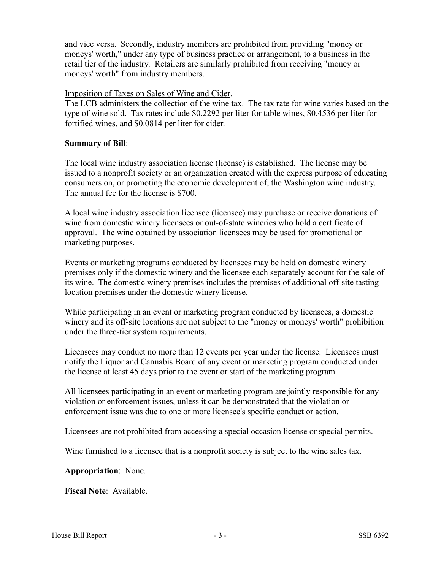and vice versa. Secondly, industry members are prohibited from providing "money or moneys' worth," under any type of business practice or arrangement, to a business in the retail tier of the industry. Retailers are similarly prohibited from receiving "money or moneys' worth" from industry members.

#### Imposition of Taxes on Sales of Wine and Cider.

The LCB administers the collection of the wine tax. The tax rate for wine varies based on the type of wine sold. Tax rates include \$0.2292 per liter for table wines, \$0.4536 per liter for fortified wines, and \$0.0814 per liter for cider.

#### **Summary of Bill**:

The local wine industry association license (license) is established. The license may be issued to a nonprofit society or an organization created with the express purpose of educating consumers on, or promoting the economic development of, the Washington wine industry. The annual fee for the license is \$700.

A local wine industry association licensee (licensee) may purchase or receive donations of wine from domestic winery licensees or out-of-state wineries who hold a certificate of approval. The wine obtained by association licensees may be used for promotional or marketing purposes.

Events or marketing programs conducted by licensees may be held on domestic winery premises only if the domestic winery and the licensee each separately account for the sale of its wine. The domestic winery premises includes the premises of additional off-site tasting location premises under the domestic winery license.

While participating in an event or marketing program conducted by licensees, a domestic winery and its off-site locations are not subject to the "money or moneys' worth" prohibition under the three-tier system requirements.

Licensees may conduct no more than 12 events per year under the license. Licensees must notify the Liquor and Cannabis Board of any event or marketing program conducted under the license at least 45 days prior to the event or start of the marketing program.

All licensees participating in an event or marketing program are jointly responsible for any violation or enforcement issues, unless it can be demonstrated that the violation or enforcement issue was due to one or more licensee's specific conduct or action.

Licensees are not prohibited from accessing a special occasion license or special permits.

Wine furnished to a licensee that is a nonprofit society is subject to the wine sales tax.

**Appropriation**: None.

**Fiscal Note**: Available.